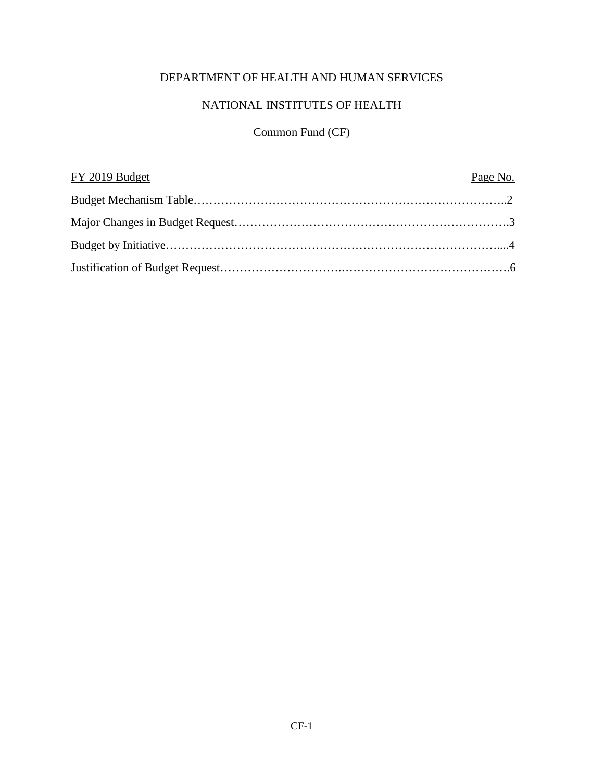# DEPARTMENT OF HEALTH AND HUMAN SERVICES

# NATIONAL INSTITUTES OF HEALTH

# Common Fund (CF)

| FY 2019 Budget | Page No. |
|----------------|----------|
|                |          |
|                |          |
|                |          |
|                |          |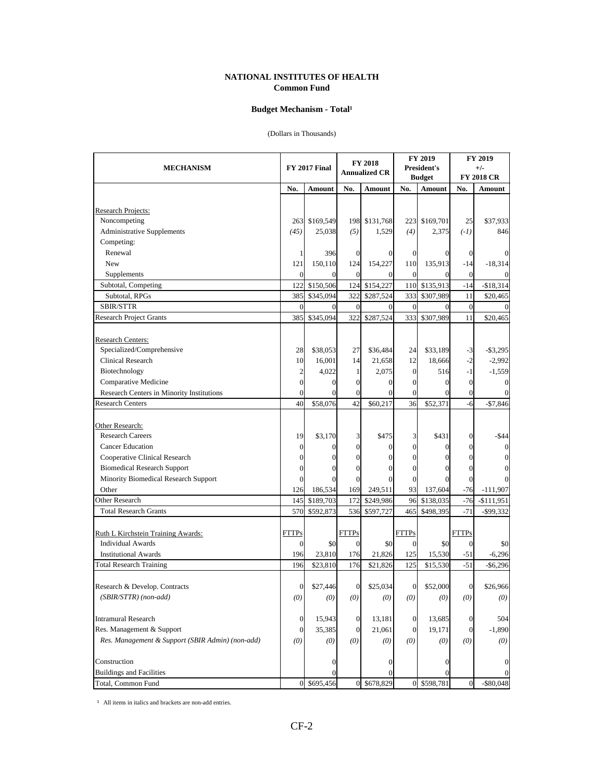#### **NATIONAL INSTITUTES OF HEALTH Common Fund**

#### Budget Mechanism - Total<sup>1</sup>

#### (Dollars in Thousands)

| <b>MECHANISM</b>                                      |                | <b>FY 2018</b><br><b>FY 2017 Final</b><br><b>Annualized CR</b> |                |                  | FY 2019<br>President's<br><b>Budget</b> |               | FY 2019<br>$+/-$<br><b>FY 2018 CR</b> |                |
|-------------------------------------------------------|----------------|----------------------------------------------------------------|----------------|------------------|-----------------------------------------|---------------|---------------------------------------|----------------|
|                                                       | No.            | Amount                                                         | No.            | Amount           | No.                                     | Amount        | No.                                   | Amount         |
|                                                       |                |                                                                |                |                  |                                         |               |                                       |                |
| <b>Research Projects:</b>                             |                |                                                                |                |                  |                                         |               |                                       |                |
| Noncompeting                                          | 263            | \$169,549                                                      |                | 198 \$131,768    |                                         | 223 \$169,701 | 25                                    | \$37,933       |
| <b>Administrative Supplements</b>                     | (45)           | 25,038                                                         | (5)            | 1,529            | (4)                                     | 2,375         | $(-1)$                                | 846            |
| Competing:                                            |                |                                                                |                |                  |                                         |               |                                       |                |
| Renewal                                               |                | 396                                                            | $\mathbf{0}$   | $\theta$         | $\mathbf{0}$                            | 0             | $\theta$                              |                |
| New                                                   | 121            | 150,110                                                        | 124            | 154,227          | 110                                     | 135,913       | $-14$                                 | $-18,314$      |
| Supplements                                           | $\Omega$       | $\Omega$                                                       | $\overline{0}$ | $\Omega$         | $\overline{0}$                          | 0             | $\Omega$                              |                |
| Subtotal, Competing                                   | 122            | \$150,506                                                      | 124            | \$154,227        | 110                                     | \$135,913     | $-14$                                 | $-$18,314$     |
| Subtotal, RPGs                                        | 385            | \$345,094                                                      | 322            | \$287,524        | 333                                     | \$307,989     | 11                                    | \$20,465       |
| SBIR/STTR                                             | $\mathbf{0}$   | $\Omega$                                                       | $\overline{0}$ | $\theta$         | $\overline{0}$                          | $\Omega$      | $\overline{0}$                        |                |
| <b>Research Project Grants</b>                        | 385            | \$345,094                                                      | 322            | \$287,524        | 333                                     | \$307,989     | 11                                    | \$20,465       |
|                                                       |                |                                                                |                |                  |                                         |               |                                       |                |
| <b>Research Centers:</b><br>Specialized/Comprehensive |                |                                                                |                |                  |                                         |               |                                       |                |
|                                                       | 28             | \$38,053                                                       | 27             | \$36,484         | 24                                      | \$33,189      | $-3$                                  | $-$ \$3,295    |
| Clinical Research                                     | 10             | 16,001                                                         | 14             | 21,658           | 12                                      | 18,666        | $-2$<br>$-1$                          | $-2,992$       |
| Biotechnology                                         | $\overline{c}$ | 4,022                                                          | $\mathbf{1}$   | 2,075            | $\overline{0}$                          | 516           |                                       | $-1,559$       |
| Comparative Medicine                                  | $\overline{0}$ | $\overline{0}$                                                 | $\mathbf{0}$   | $\theta$         | $\mathbf{0}$                            | $\mathbf{0}$  | $\mathbf{0}$                          |                |
| Research Centers in Minority Institutions             | $\overline{0}$ | $\Omega$                                                       | $\overline{0}$ | $\Omega$         | $\mathbf{0}$                            | $\Omega$      | $\theta$                              | $\Omega$       |
| <b>Research Centers</b>                               | 40             | \$58,076                                                       | 42             | \$60,217         | 36                                      | \$52,371      | $-6$                                  | $-$7,846$      |
| Other Research:                                       |                |                                                                |                |                  |                                         |               |                                       |                |
| <b>Research Careers</b>                               | 19             | \$3,170                                                        | 3              | \$475            | 3                                       | \$431         | 0                                     | -\$44          |
| <b>Cancer Education</b>                               | $\mathbf{0}$   | $\Omega$                                                       | $\overline{0}$ | $\theta$         | $\overline{0}$                          | $\theta$      | 0                                     | $\overline{0}$ |
| Cooperative Clinical Research                         | $\Omega$       | $\Omega$                                                       | $\mathbf{0}$   | 0                | $\mathbf{0}$                            | $\Omega$      | 0                                     | 0              |
| <b>Biomedical Research Support</b>                    | 0              | $\mathbf{0}$                                                   | $\mathbf{0}$   | 0                | $\theta$                                |               | 0                                     |                |
| Minority Biomedical Research Support                  | $\Omega$       | $\Omega$                                                       | $\theta$       | $\Omega$         | $\theta$                                |               | $\theta$                              |                |
| Other                                                 | 126            | 186,534                                                        | 169            | 249,511          | 93                                      | 137,604       | $-76$                                 | $-111,907$     |
| <b>Other Research</b>                                 | 145            | \$189,703                                                      | 172            | \$249,986        | 96                                      | \$138,035     | $-76$                                 | $-$111,951$    |
| <b>Total Research Grants</b>                          | 570            | \$592,873                                                      | 536            | \$597,727        | 465                                     | \$498,395     | $-71$                                 | $-$ \$99,332   |
|                                                       |                |                                                                |                |                  |                                         |               |                                       |                |
| Ruth L Kirchstein Training Awards:                    | <b>FTTPs</b>   |                                                                | <b>FTTPs</b>   |                  | <b>FTTPs</b>                            |               | <b>FTTPs</b>                          |                |
| <b>Individual Awards</b>                              | $\Omega$       | \$0                                                            | $\overline{0}$ | \$0              | $\overline{0}$                          | \$0           | $\Omega$                              | \$0            |
| <b>Institutional Awards</b>                           | 196            | 23,810                                                         | 176            | 21,826           | 125                                     | 15,530        | $-51$                                 | $-6,296$       |
| Total Research Training                               | 196            | \$23,810                                                       | 176            | \$21,826         | 125                                     | \$15,530      | $-51$                                 | $-$ \$6,296    |
|                                                       |                |                                                                |                |                  |                                         |               |                                       |                |
| Research & Develop. Contracts                         | $\overline{0}$ | \$27,446                                                       | $\overline{0}$ | \$25,034         | $\overline{0}$                          | \$52,000      | $\overline{0}$                        | \$26,966       |
| (SBIR/STTR) (non-add)                                 | (0)            | (0)                                                            | (0)            | (0)              | (0)                                     | (0)           | (0)                                   | (0)            |
|                                                       |                |                                                                |                |                  |                                         |               |                                       |                |
| <b>Intramural Research</b>                            | $\mathbf{0}$   | 15,943                                                         | $\mathbf{0}$   | 13,181           | $\overline{0}$                          | 13,685        | $\Omega$                              | 504            |
| Res. Management & Support                             | $\mathbf{0}$   | 35,385                                                         | $\mathbf{0}$   | 21,061           | $\overline{0}$                          | 19,171        | $\Omega$                              | $-1,890$       |
| Res. Management & Support (SBIR Admin) (non-add)      | (0)            | (0)                                                            | (0)            | (0)              | (0)                                     | (0)           | (0)                                   | (0)            |
| Construction                                          |                | $\vert 0 \vert$                                                |                | $\boldsymbol{0}$ |                                         | 0             |                                       | 0              |
| <b>Buildings and Facilities</b>                       |                | 0                                                              |                | $\theta$         |                                         |               |                                       |                |
| Total, Common Fund                                    |                | 0 \$695,456                                                    |                | 0 \$678,829      |                                         | 0 \$598,781   | $\theta$                              | $-$ \$80,048   |

 $1$  All items in italics and brackets are non-add entries.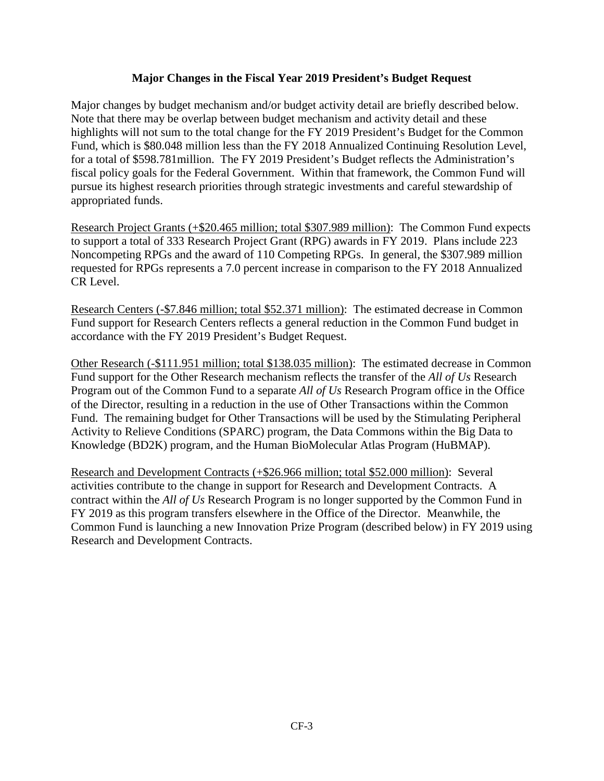### **Major Changes in the Fiscal Year 2019 President's Budget Request**

Major changes by budget mechanism and/or budget activity detail are briefly described below. Note that there may be overlap between budget mechanism and activity detail and these highlights will not sum to the total change for the FY 2019 President's Budget for the Common Fund, which is \$80.048 million less than the FY 2018 Annualized Continuing Resolution Level, for a total of \$598.781million. The FY 2019 President's Budget reflects the Administration's fiscal policy goals for the Federal Government. Within that framework, the Common Fund will pursue its highest research priorities through strategic investments and careful stewardship of appropriated funds.

Research Project Grants (+\$20.465 million; total \$307.989 million): The Common Fund expects to support a total of 333 Research Project Grant (RPG) awards in FY 2019. Plans include 223 Noncompeting RPGs and the award of 110 Competing RPGs. In general, the \$307.989 million requested for RPGs represents a 7.0 percent increase in comparison to the FY 2018 Annualized CR Level.

Research Centers (-\$7.846 million; total \$52.371 million): The estimated decrease in Common Fund support for Research Centers reflects a general reduction in the Common Fund budget in accordance with the FY 2019 President's Budget Request.

Other Research (-\$111.951 million; total \$138.035 million): The estimated decrease in Common Fund support for the Other Research mechanism reflects the transfer of the *All of Us* Research Program out of the Common Fund to a separate *All of Us* Research Program office in the Office of the Director, resulting in a reduction in the use of Other Transactions within the Common Fund. The remaining budget for Other Transactions will be used by the Stimulating Peripheral Activity to Relieve Conditions (SPARC) program, the Data Commons within the Big Data to Knowledge (BD2K) program, and the Human BioMolecular Atlas Program (HuBMAP).

Research and Development Contracts (+\$26.966 million; total \$52.000 million): Several activities contribute to the change in support for Research and Development Contracts. A contract within the *All of Us* Research Program is no longer supported by the Common Fund in FY 2019 as this program transfers elsewhere in the Office of the Director. Meanwhile, the Common Fund is launching a new Innovation Prize Program (described below) in FY 2019 using Research and Development Contracts.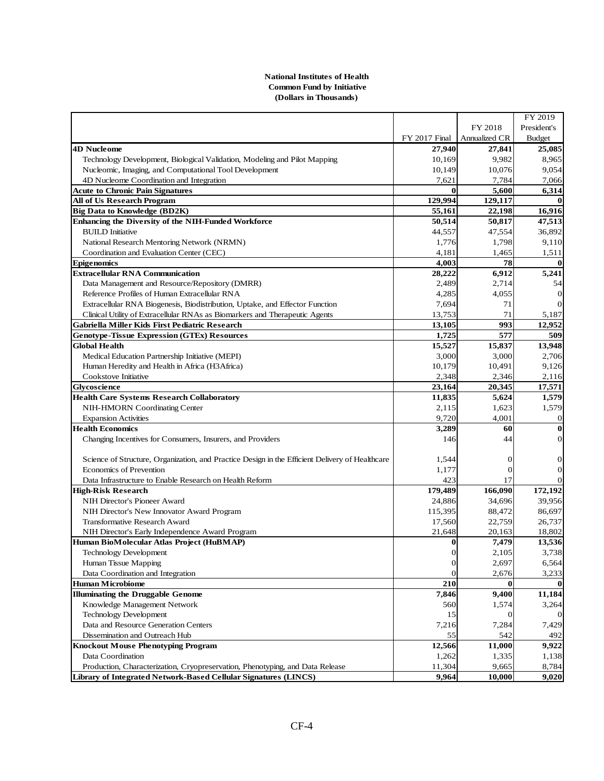#### **National Institutes of Health Common Fund by Initiative (Dollars in Thousands)**

|                                                                                                 |                      |                | FY 2019          |
|-------------------------------------------------------------------------------------------------|----------------------|----------------|------------------|
|                                                                                                 |                      | FY 2018        | President's      |
|                                                                                                 | <b>FY 2017 Final</b> | Annualized CR  | <b>Budget</b>    |
| <b>4D Nucleome</b>                                                                              | 27,940               | 27,841         | 25,085           |
| Technology Development, Biological Validation, Modeling and Pilot Mapping                       | 10,169               | 9,982          | 8,965            |
| Nucleomic, Imaging, and Computational Tool Development                                          | 10,149               | 10,076         | 9,054            |
| 4D Nucleome Coordination and Integration                                                        | 7,621                | 7,784          | 7,066            |
| <b>Acute to Chronic Pain Signatures</b>                                                         | $\bf{0}$             | 5,600          | 6,314            |
| All of Us Research Program                                                                      | 129,994              | 129,117        |                  |
| <b>Big Data to Knowledge (BD2K)</b>                                                             | 55.161               | 22,198         | 16,916           |
| Enhancing the Diversity of the NIH-Funded Workforce                                             | 50,514               | 50,817         | 47,513           |
| <b>BUILD</b> Initiative                                                                         | 44,557               | 47,554         | 36,892           |
| National Research Mentoring Network (NRMN)                                                      | 1,776                | 1,798          | 9,110            |
| Coordination and Evaluation Center (CEC)                                                        | 4,181                | 1,465          | 1,511            |
| <b>Epigenomics</b>                                                                              | 4,003                | 78             | $\mathbf 0$      |
| <b>Extracellular RNA Communication</b>                                                          | 28,222               | 6,912          | 5,241            |
| Data Management and Resource/Repository (DMRR)                                                  | 2,489                | 2,714          | 54               |
| Reference Profiles of Human Extracellular RNA                                                   | 4,285                | 4,055          | $\mathbf 0$      |
| Extracellular RNA Biogenesis, Biodistribution, Uptake, and Effector Function                    | 7,694                | 71             | $\overline{0}$   |
| Clinical Utility of Extracellular RNAs as Biomarkers and Therapeutic Agents                     | 13,753               | 71             | 5,187            |
| Gabriella Miller Kids First Pediatric Research                                                  | 13,105               | 993            | 12,952           |
| <b>Genotype-Tissue Expression (GTEx) Resources</b>                                              | 1,725                | 577            | 509              |
| <b>Global Health</b>                                                                            | 15,527               | 15,837         | 13,948           |
| Medical Education Partnership Initiative (MEPI)                                                 | 3,000                | 3,000          | 2,706            |
| Human Heredity and Health in Africa (H3Africa)                                                  | 10,179               | 10,491         | 9,126            |
| Cookstove Initiative                                                                            | 2,348                | 2,346          | 2,116            |
| Glycoscience                                                                                    | 23,164               | 20,345         | 17,571           |
| <b>Health Care Systems Research Collaboratory</b>                                               | 11,835               | 5,624          | 1,579            |
| NIH-HMORN Coordinating Center                                                                   | 2,115                | 1,623          | 1,579            |
| <b>Expansion Activities</b>                                                                     | 9,720                | 4,001          | $\vert 0 \vert$  |
| <b>Health Economics</b>                                                                         | 3,289                | 60             | $\bf{0}$         |
| Changing Incentives for Consumers, Insurers, and Providers                                      | 146                  | 44             | $\overline{0}$   |
|                                                                                                 |                      |                |                  |
| Science of Structure, Organization, and Practice Design in the Efficient Delivery of Healthcare | 1,544                | 0              | 0                |
| <b>Economics of Prevention</b>                                                                  | 1,177                | $\overline{0}$ | $\boldsymbol{0}$ |
| Data Infrastructure to Enable Research on Health Reform                                         | 423                  | 17             | $\boldsymbol{0}$ |
| <b>High-Risk Research</b>                                                                       | 179,489              | 166,090        | 172,192          |
| NIH Director's Pioneer Award                                                                    | 24,886               | 34,696         | 39,956           |
| NIH Director's New Innovator Award Program                                                      | 115,395              | 88,472         | 86,697           |
| <b>Transformative Research Award</b>                                                            | 17,560               | 22,759         | 26,737           |
| NIH Director's Early Independence Award Program                                                 | 21,648               | 20,163         | 18,802           |
| Human BioMolecular Atlas Project (HuBMAP)                                                       | 0                    | 7,479          | 13,536           |
| Technology Development                                                                          | $\Omega$             | 2,105          | 3,738            |
| Human Tissue Mapping                                                                            | $\boldsymbol{0}$     | 2,697          | 6,564            |
| Data Coordination and Integration                                                               | $\overline{0}$       | 2,676          | 3,233            |
| <b>Human Microbiome</b>                                                                         | 210                  | 0              |                  |
| <b>Illuminating the Druggable Genome</b>                                                        | 7,846                | 9,400          | 11,184           |
| Knowledge Management Network                                                                    | 560                  | 1,574          | 3,264            |
| <b>Technology Development</b>                                                                   | 15                   | 0              | $^{(1)}$         |
| Data and Resource Generation Centers                                                            | 7,216                | 7,284          | 7,429            |
| Dissemination and Outreach Hub                                                                  | 55                   | 542            | 492              |
| <b>Knockout Mouse Phenotyping Program</b>                                                       | 12,566               | 11,000         | 9,922            |
| Data Coordination                                                                               | 1,262                | 1,335          | 1,138            |
| Production, Characterization, Cryopreservation, Phenotyping, and Data Release                   | 11,304               | 9,665          | 8,784            |
| Library of Integrated Network-Based Cellular Signatures (LINCS)                                 | 9.964                | 10,000         | 9,020            |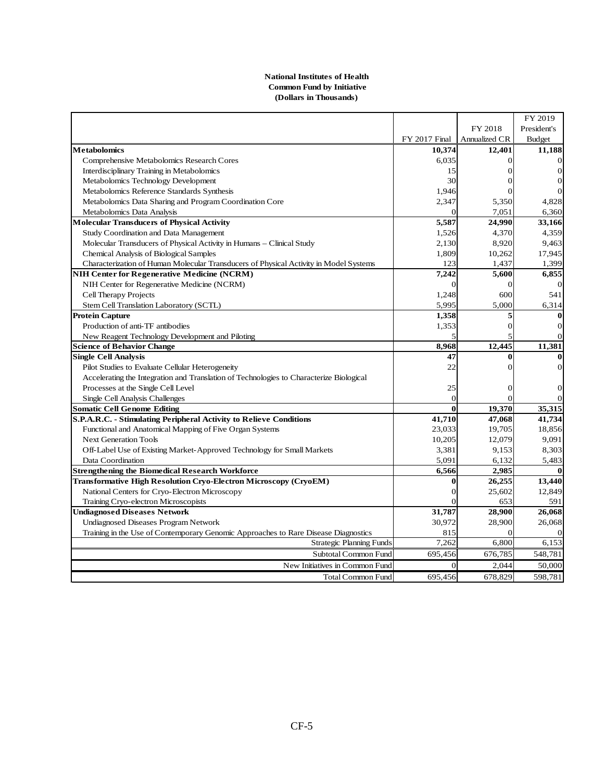#### **National Institutes of Health Common Fund by Initiative (Dollars in Thousands)**

|                                                                                         |                      |                | FY 2019          |
|-----------------------------------------------------------------------------------------|----------------------|----------------|------------------|
|                                                                                         |                      | FY 2018        | President's      |
|                                                                                         | <b>FY 2017 Final</b> | Annualized CR  | <b>Budget</b>    |
| <b>Metabolomics</b>                                                                     | 10,374               | 12,401         | 11,188           |
| <b>Comprehensive Metabolomics Research Cores</b>                                        | 6,035                | $\Omega$       | 0                |
| Interdisciplinary Training in Metabolomics                                              | 15                   | $\overline{0}$ | $\vert 0 \vert$  |
| Metabolomics Technology Development                                                     | 30                   | 0              | $\mathbf{0}$     |
| Metabolomics Reference Standards Synthesis                                              | 1,946                | $\Omega$       | $\theta$         |
| Metabolomics Data Sharing and Program Coordination Core                                 | 2,347                | 5,350          | 4,828            |
| Metabolomics Data Analysis                                                              | $\Omega$             | 7,051          | 6,360            |
| <b>Molecular Transducers of Physical Activity</b>                                       | 5,587                | 24,990         | 33,166           |
| Study Coordination and Data Management                                                  | 1,526                | 4,370          | 4,359            |
| Molecular Transducers of Physical Activity in Humans – Clinical Study                   | 2,130                | 8,920          | 9,463            |
| Chemical Analysis of Biological Samples                                                 | 1,809                | 10,262         | 17,945           |
| Characterization of Human Molecular Transducers of Physical Activity in Model Systems   | 123                  | 1,437          | 1,399            |
| NIH Center for Regenerative Medicine (NCRM)                                             | 7,242                | 5,600          | 6,855            |
| NIH Center for Regenerative Medicine (NCRM)                                             | $\Omega$             | $\Omega$       | $\theta$         |
| Cell Therapy Projects                                                                   | 1,248                | 600            | 541              |
| Stem Cell Translation Laboratory (SCTL)                                                 | 5,995                | 5,000          | 6,314            |
| <b>Protein Capture</b>                                                                  | 1,358                | 5              | 0                |
| Production of anti-TF antibodies                                                        | 1,353                | $\mathbf 0$    | $\theta$         |
| New Reagent Technology Development and Piloting                                         | 5                    | 5              | $\Omega$         |
| <b>Science of Behavior Change</b>                                                       | 8,968                | 12,445         | 11,381           |
| <b>Single Cell Analysis</b>                                                             | 47                   | 0              |                  |
| Pilot Studies to Evaluate Cellular Heterogeneity                                        | 22                   | $\theta$       | $\Omega$         |
| Accelerating the Integration and Translation of Technologies to Characterize Biological |                      |                |                  |
| Processes at the Single Cell Level                                                      | 25                   | $\overline{0}$ | $\boldsymbol{0}$ |
| Single Cell Analysis Challenges                                                         | $\theta$             | $\Omega$       | $\Omega$         |
| <b>Somatic Cell Genome Editing</b>                                                      | $\mathbf{0}$         | 19,370         | 35,315           |
| S.P.A.R.C. - Stimulating Peripheral Activity to Relieve Conditions                      | 41,710               | 47,068         | 41,734           |
| Functional and Anatomical Mapping of Five Organ Systems                                 | 23,033               | 19,705         | 18,856           |
| <b>Next Generation Tools</b>                                                            | 10,205               | 12,079         | 9,091            |
| Off-Label Use of Existing Market-Approved Technology for Small Markets                  | 3,381                | 9,153          | 8,303            |
| Data Coordination                                                                       | 5,091                | 6,132          | 5,483            |
| <b>Strengthening the Biomedical Research Workforce</b>                                  | 6,566                | 2,985          | 0                |
| Transformative High Resolution Cryo-Electron Microscopy (CryoEM)                        | $\bf{0}$             | 26,255         | 13,440           |
| National Centers for Cryo-Electron Microscopy                                           | $\overline{0}$       | 25,602         | 12,849           |
| Training Cryo-electron Microscopists                                                    | $\Omega$             | 653            | 591              |
| <b>Undiagnosed Diseases Network</b>                                                     | 31,787               | 28,900         | 26,068           |
| Undiagnosed Diseases Program Network                                                    | 30,972               | 28,900         | 26,068           |
| Training in the Use of Contemporary Genomic Approaches to Rare Disease Diagnostics      | 815                  | $\theta$       |                  |
| <b>Strategic Planning Funds</b>                                                         | 7,262                | 6,800          | 6,153            |
| Subtotal Common Fund                                                                    | 695,456              | 676,785        | 548,781          |
| New Initiatives in Common Fund                                                          | $\vert 0 \vert$      | 2,044          | 50,000           |
| <b>Total Common Fund</b>                                                                | 695,456              | 678,829        | 598,781          |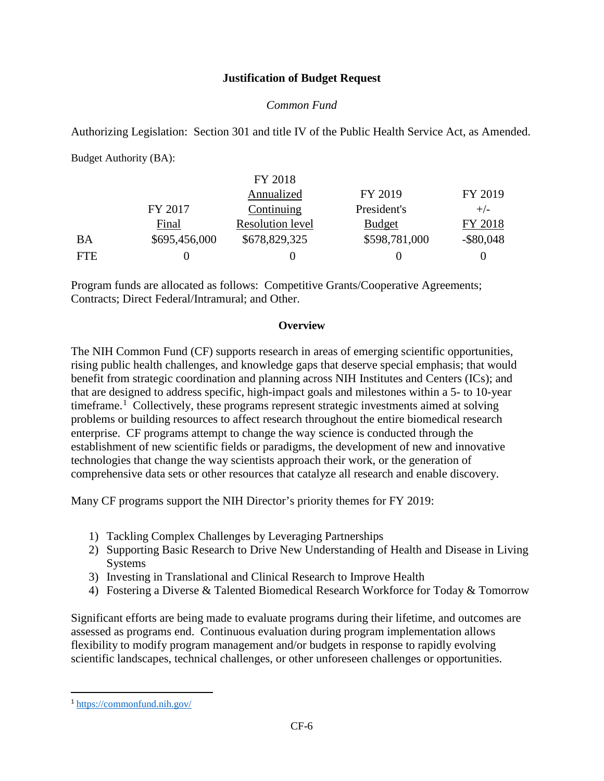### **Justification of Budget Request**

### *Common Fund*

Authorizing Legislation: Section 301 and title IV of the Public Health Service Act, as Amended.

Budget Authority (BA):

|            |               | FY 2018                 |               |              |
|------------|---------------|-------------------------|---------------|--------------|
|            |               | Annualized              | FY 2019       | FY 2019      |
|            | FY 2017       | Continuing              | President's   | $+/-$        |
|            | Final         | <b>Resolution level</b> | <b>Budget</b> | FY 2018      |
| BA         | \$695,456,000 | \$678,829,325           | \$598,781,000 | $-$ \$80,048 |
| <b>FTE</b> |               |                         |               |              |

Program funds are allocated as follows: Competitive Grants/Cooperative Agreements; Contracts; Direct Federal/Intramural; and Other.

#### **Overview**

The NIH Common Fund (CF) supports research in areas of emerging scientific opportunities, rising public health challenges, and knowledge gaps that deserve special emphasis; that would benefit from strategic coordination and planning across NIH Institutes and Centers (ICs); and that are designed to address specific, high-impact goals and milestones within a 5- to 10-year timeframe.<sup>[1](#page-5-0)</sup> Collectively, these programs represent strategic investments aimed at solving problems or building resources to affect research throughout the entire biomedical research enterprise. CF programs attempt to change the way science is conducted through the establishment of new scientific fields or paradigms, the development of new and innovative technologies that change the way scientists approach their work, or the generation of comprehensive data sets or other resources that catalyze all research and enable discovery.

Many CF programs support the NIH Director's priority themes for FY 2019:

- 1) Tackling Complex Challenges by Leveraging Partnerships
- 2) Supporting Basic Research to Drive New Understanding of Health and Disease in Living Systems
- 3) Investing in Translational and Clinical Research to Improve Health
- 4) Fostering a Diverse & Talented Biomedical Research Workforce for Today & Tomorrow

Significant efforts are being made to evaluate programs during their lifetime, and outcomes are assessed as programs end. Continuous evaluation during program implementation allows flexibility to modify program management and/or budgets in response to rapidly evolving scientific landscapes, technical challenges, or other unforeseen challenges or opportunities.

 $\overline{a}$ 

<span id="page-5-0"></span><sup>1</sup> <https://commonfund.nih.gov/>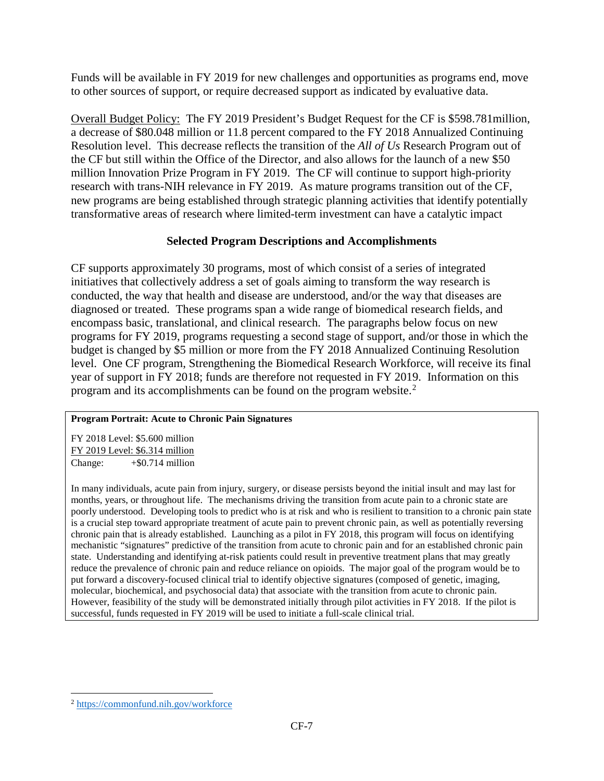Funds will be available in FY 2019 for new challenges and opportunities as programs end, move to other sources of support, or require decreased support as indicated by evaluative data.

Overall Budget Policy: The FY 2019 President's Budget Request for the CF is \$598.781million, a decrease of \$80.048 million or 11.8 percent compared to the FY 2018 Annualized Continuing Resolution level. This decrease reflects the transition of the *All of Us* Research Program out of the CF but still within the Office of the Director, and also allows for the launch of a new \$50 million Innovation Prize Program in FY 2019. The CF will continue to support high-priority research with trans-NIH relevance in FY 2019. As mature programs transition out of the CF, new programs are being established through strategic planning activities that identify potentially transformative areas of research where limited-term investment can have a catalytic impact

## **Selected Program Descriptions and Accomplishments**

CF supports approximately 30 programs, most of which consist of a series of integrated initiatives that collectively address a set of goals aiming to transform the way research is conducted, the way that health and disease are understood, and/or the way that diseases are diagnosed or treated. These programs span a wide range of biomedical research fields, and encompass basic, translational, and clinical research. The paragraphs below focus on new programs for FY 2019, programs requesting a second stage of support, and/or those in which the budget is changed by \$5 million or more from the FY 2018 Annualized Continuing Resolution level. One CF program, Strengthening the Biomedical Research Workforce, will receive its final year of support in FY 2018; funds are therefore not requested in FY 2019. Information on this program and its accomplishments can be found on the program website.<sup>[2](#page-6-0)</sup>

## **Program Portrait: Acute to Chronic Pain Signatures**

FY 2018 Level: \$5.600 million FY 2019 Level: \$6.314 million Change:  $+$ \$0.714 million

In many individuals, acute pain from injury, surgery, or disease persists beyond the initial insult and may last for months, years, or throughout life. The mechanisms driving the transition from acute pain to a chronic state are poorly understood. Developing tools to predict who is at risk and who is resilient to transition to a chronic pain state is a crucial step toward appropriate treatment of acute pain to prevent chronic pain, as well as potentially reversing chronic pain that is already established. Launching as a pilot in FY 2018, this program will focus on identifying mechanistic "signatures" predictive of the transition from acute to chronic pain and for an established chronic pain state. Understanding and identifying at-risk patients could result in preventive treatment plans that may greatly reduce the prevalence of chronic pain and reduce reliance on opioids. The major goal of the program would be to put forward a discovery-focused clinical trial to identify objective signatures (composed of genetic, imaging, molecular, biochemical, and psychosocial data) that associate with the transition from acute to chronic pain. However, feasibility of the study will be demonstrated initially through pilot activities in FY 2018. If the pilot is successful, funds requested in FY 2019 will be used to initiate a full-scale clinical trial.

<span id="page-6-0"></span> $\overline{a}$ <sup>2</sup> <https://commonfund.nih.gov/workforce>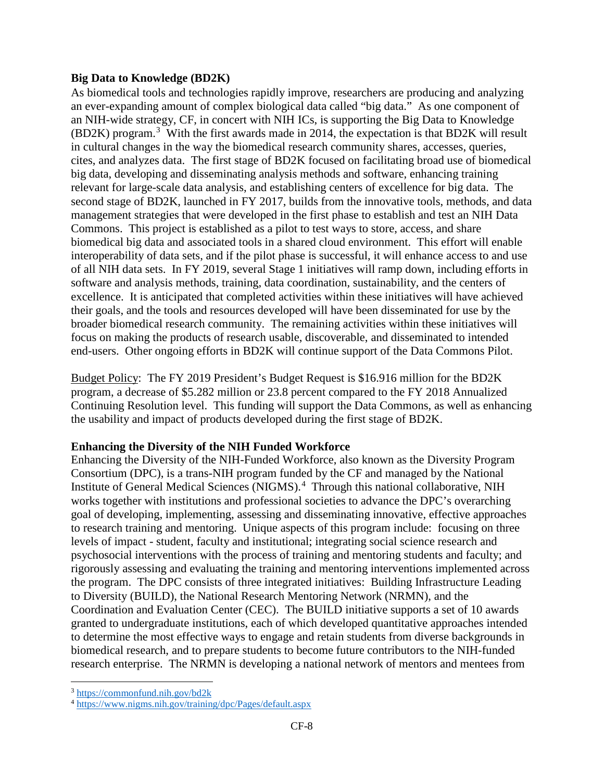### **Big Data to Knowledge (BD2K)**

As biomedical tools and technologies rapidly improve, researchers are producing and analyzing an ever-expanding amount of complex biological data called "big data." As one component of an NIH-wide strategy, CF, in concert with NIH ICs, is supporting the Big Data to Knowledge (BD2K) program.[3](#page-7-0) With the first awards made in 2014, the expectation is that BD2K will result in cultural changes in the way the biomedical research community shares, accesses, queries, cites, and analyzes data. The first stage of BD2K focused on facilitating broad use of biomedical big data, developing and disseminating analysis methods and software, enhancing training relevant for large-scale data analysis, and establishing centers of excellence for big data. The second stage of BD2K, launched in FY 2017, builds from the innovative tools, methods, and data management strategies that were developed in the first phase to establish and test an NIH Data Commons. This project is established as a pilot to test ways to store, access, and share biomedical big data and associated tools in a shared cloud environment. This effort will enable interoperability of data sets, and if the pilot phase is successful, it will enhance access to and use of all NIH data sets. In FY 2019, several Stage 1 initiatives will ramp down, including efforts in software and analysis methods, training, data coordination, sustainability, and the centers of excellence. It is anticipated that completed activities within these initiatives will have achieved their goals, and the tools and resources developed will have been disseminated for use by the broader biomedical research community. The remaining activities within these initiatives will focus on making the products of research usable, discoverable, and disseminated to intended end-users. Other ongoing efforts in BD2K will continue support of the Data Commons Pilot.

Budget Policy: The FY 2019 President's Budget Request is \$16.916 million for the BD2K program, a decrease of \$5.282 million or 23.8 percent compared to the FY 2018 Annualized Continuing Resolution level. This funding will support the Data Commons, as well as enhancing the usability and impact of products developed during the first stage of BD2K.

## **Enhancing the Diversity of the NIH Funded Workforce**

Enhancing the Diversity of the NIH-Funded Workforce, also known as the Diversity Program Consortium (DPC), is a trans-NIH program funded by the CF and managed by the National Institute of General Medical Sciences (NIGMS).<sup>[4](#page-7-1)</sup> Through this national collaborative, NIH works together with institutions and professional societies to advance the DPC's overarching goal of developing, implementing, assessing and disseminating innovative, effective approaches to research training and mentoring. Unique aspects of this program include: focusing on three levels of impact - student, faculty and institutional; integrating social science research and psychosocial interventions with the process of training and mentoring students and faculty; and rigorously assessing and evaluating the training and mentoring interventions implemented across the program. The DPC consists of three integrated initiatives: Building Infrastructure Leading to Diversity (BUILD), the National Research Mentoring Network (NRMN), and the Coordination and Evaluation Center (CEC). The BUILD initiative supports a set of 10 awards granted to undergraduate institutions, each of which developed quantitative approaches intended to determine the most effective ways to engage and retain students from diverse backgrounds in biomedical research, and to prepare students to become future contributors to the NIH-funded research enterprise. The NRMN is developing a national network of mentors and mentees from

l

<span id="page-7-0"></span><sup>&</sup>lt;sup>3</sup> <https://commonfund.nih.gov/bd2k>

<span id="page-7-1"></span><sup>4</sup> <https://www.nigms.nih.gov/training/dpc/Pages/default.aspx>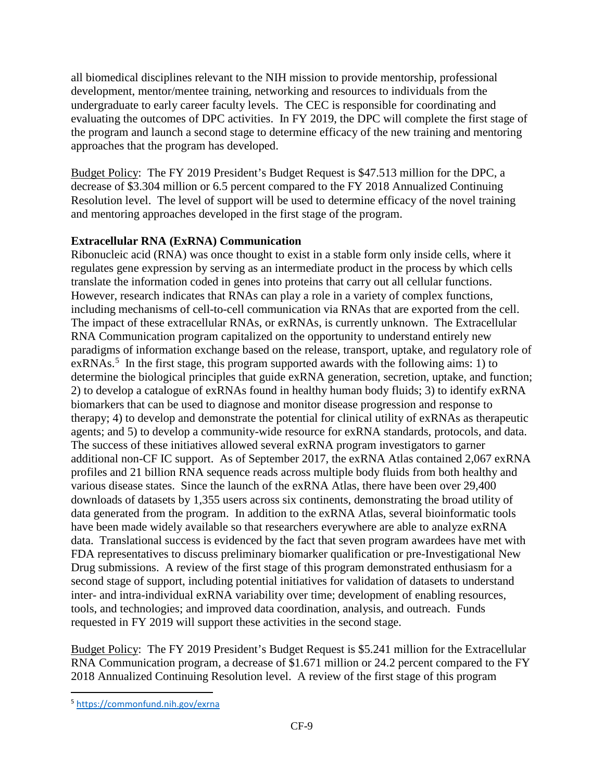all biomedical disciplines relevant to the NIH mission to provide mentorship, professional development, mentor/mentee training, networking and resources to individuals from the undergraduate to early career faculty levels. The CEC is responsible for coordinating and evaluating the outcomes of DPC activities. In FY 2019, the DPC will complete the first stage of the program and launch a second stage to determine efficacy of the new training and mentoring approaches that the program has developed.

Budget Policy: The FY 2019 President's Budget Request is \$47.513 million for the DPC, a decrease of \$3.304 million or 6.5 percent compared to the FY 2018 Annualized Continuing Resolution level. The level of support will be used to determine efficacy of the novel training and mentoring approaches developed in the first stage of the program.

## **Extracellular RNA (ExRNA) Communication**

Ribonucleic acid (RNA) was once thought to exist in a stable form only inside cells, where it regulates gene expression by serving as an intermediate product in the process by which cells translate the information coded in genes into proteins that carry out all cellular functions. However, research indicates that RNAs can play a role in a variety of complex functions, including mechanisms of cell-to-cell communication via RNAs that are exported from the cell. The impact of these extracellular RNAs, or exRNAs, is currently unknown. The Extracellular RNA Communication program capitalized on the opportunity to understand entirely new paradigms of information exchange based on the release, transport, uptake, and regulatory role of  $exRNAs.<sup>5</sup>$  $exRNAs.<sup>5</sup>$  $exRNAs.<sup>5</sup>$  In the first stage, this program supported awards with the following aims: 1) to determine the biological principles that guide exRNA generation, secretion, uptake, and function; 2) to develop a catalogue of exRNAs found in healthy human body fluids; 3) to identify exRNA biomarkers that can be used to diagnose and monitor disease progression and response to therapy; 4) to develop and demonstrate the potential for clinical utility of exRNAs as therapeutic agents; and 5) to develop a community-wide resource for exRNA standards, protocols, and data. The success of these initiatives allowed several exRNA program investigators to garner additional non-CF IC support. As of September 2017, the exRNA Atlas contained 2,067 exRNA profiles and 21 billion RNA sequence reads across multiple body fluids from both healthy and various disease states. Since the launch of the exRNA Atlas, there have been over 29,400 downloads of datasets by 1,355 users across six continents, demonstrating the broad utility of data generated from the program. In addition to the exRNA Atlas, several bioinformatic tools have been made widely available so that researchers everywhere are able to analyze exRNA data. Translational success is evidenced by the fact that seven program awardees have met with FDA representatives to discuss preliminary biomarker qualification or pre-Investigational New Drug submissions. A review of the first stage of this program demonstrated enthusiasm for a second stage of support, including potential initiatives for validation of datasets to understand inter- and intra-individual exRNA variability over time; development of enabling resources, tools, and technologies; and improved data coordination, analysis, and outreach. Funds requested in FY 2019 will support these activities in the second stage.

Budget Policy: The FY 2019 President's Budget Request is \$5.241 million for the Extracellular RNA Communication program, a decrease of \$1.671 million or 24.2 percent compared to the FY 2018 Annualized Continuing Resolution level. A review of the first stage of this program

<span id="page-8-0"></span> <sup>5</sup> <https://commonfund.nih.gov/exrna>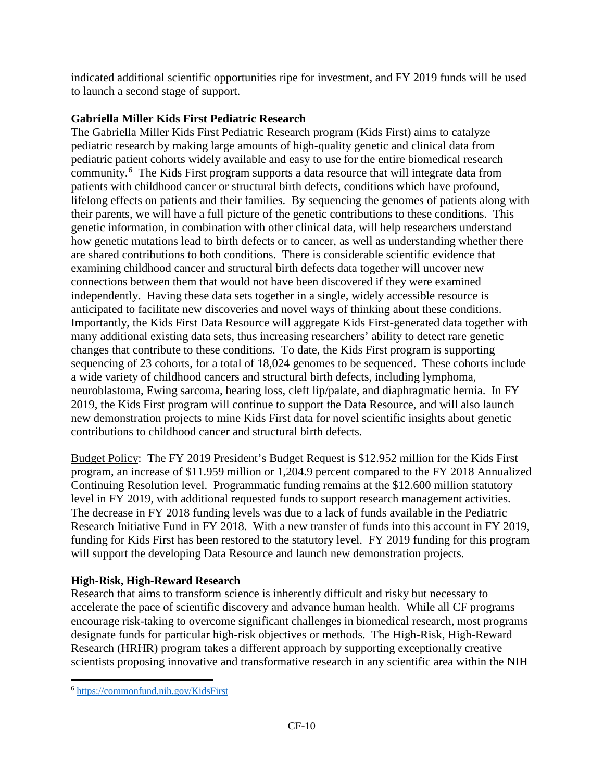indicated additional scientific opportunities ripe for investment, and FY 2019 funds will be used to launch a second stage of support.

# **Gabriella Miller Kids First Pediatric Research**

The Gabriella Miller Kids First Pediatric Research program (Kids First) aims to catalyze pediatric research by making large amounts of high-quality genetic and clinical data from pediatric patient cohorts widely available and easy to use for the entire biomedical research community.<sup>[6](#page-9-0)</sup> The Kids First program supports a data resource that will integrate data from patients with childhood cancer or structural birth defects, conditions which have profound, lifelong effects on patients and their families. By sequencing the genomes of patients along with their parents, we will have a full picture of the genetic contributions to these conditions. This genetic information, in combination with other clinical data, will help researchers understand how genetic mutations lead to birth defects or to cancer, as well as understanding whether there are shared contributions to both conditions. There is considerable scientific evidence that examining childhood cancer and structural birth defects data together will uncover new connections between them that would not have been discovered if they were examined independently. Having these data sets together in a single, widely accessible resource is anticipated to facilitate new discoveries and novel ways of thinking about these conditions. Importantly, the Kids First Data Resource will aggregate Kids First-generated data together with many additional existing data sets, thus increasing researchers' ability to detect rare genetic changes that contribute to these conditions. To date, the Kids First program is supporting sequencing of 23 cohorts, for a total of 18,024 genomes to be sequenced. These cohorts include a wide variety of childhood cancers and structural birth defects, including lymphoma, neuroblastoma, Ewing sarcoma, hearing loss, cleft lip/palate, and diaphragmatic hernia. In FY 2019, the Kids First program will continue to support the Data Resource, and will also launch new demonstration projects to mine Kids First data for novel scientific insights about genetic contributions to childhood cancer and structural birth defects.

Budget Policy: The FY 2019 President's Budget Request is \$12.952 million for the Kids First program, an increase of \$11.959 million or 1,204.9 percent compared to the FY 2018 Annualized Continuing Resolution level. Programmatic funding remains at the \$12.600 million statutory level in FY 2019, with additional requested funds to support research management activities. The decrease in FY 2018 funding levels was due to a lack of funds available in the Pediatric Research Initiative Fund in FY 2018. With a new transfer of funds into this account in FY 2019, funding for Kids First has been restored to the statutory level. FY 2019 funding for this program will support the developing Data Resource and launch new demonstration projects.

# **High-Risk, High-Reward Research**

Research that aims to transform science is inherently difficult and risky but necessary to accelerate the pace of scientific discovery and advance human health. While all CF programs encourage risk-taking to overcome significant challenges in biomedical research, most programs designate funds for particular high-risk objectives or methods. The High-Risk, High-Reward Research (HRHR) program takes a different approach by supporting exceptionally creative scientists proposing innovative and transformative research in any scientific area within the NIH

 $\overline{a}$ 

<span id="page-9-0"></span><sup>6</sup> <https://commonfund.nih.gov/KidsFirst>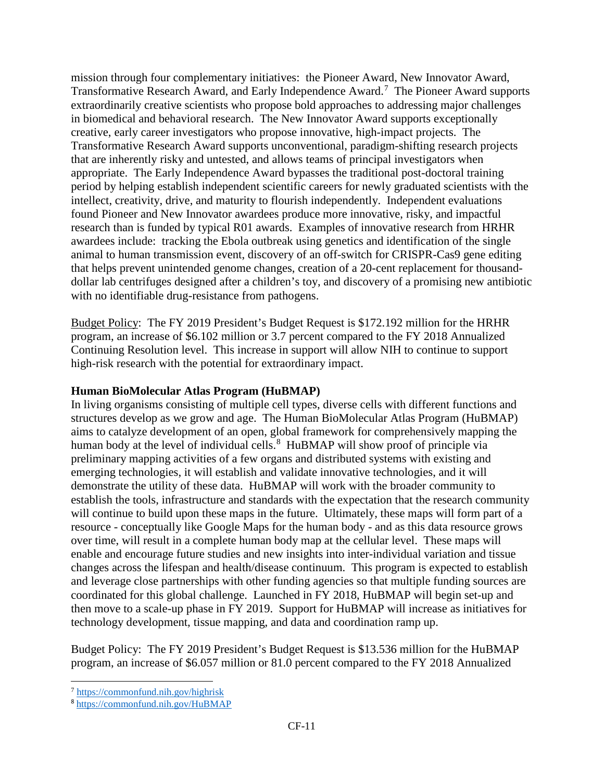mission through four complementary initiatives: the Pioneer Award, New Innovator Award, Transformative Research Award, and Early Independence Award.<sup>[7](#page-10-0)</sup> The Pioneer Award supports extraordinarily creative scientists who propose bold approaches to addressing major challenges in biomedical and behavioral research. The New Innovator Award supports exceptionally creative, early career investigators who propose innovative, high-impact projects. The Transformative Research Award supports unconventional, paradigm-shifting research projects that are inherently risky and untested, and allows teams of principal investigators when appropriate. The Early Independence Award bypasses the traditional post-doctoral training period by helping establish independent scientific careers for newly graduated scientists with the intellect, creativity, drive, and maturity to flourish independently. Independent evaluations found Pioneer and New Innovator awardees produce more innovative, risky, and impactful research than is funded by typical R01 awards. Examples of innovative research from HRHR awardees include: tracking the Ebola outbreak using genetics and identification of the single animal to human transmission event, discovery of an off-switch for CRISPR-Cas9 gene editing that helps prevent unintended genome changes, creation of a 20-cent replacement for thousanddollar lab centrifuges designed after a children's toy, and discovery of a promising new antibiotic with no identifiable drug-resistance from pathogens.

Budget Policy: The FY 2019 President's Budget Request is \$172.192 million for the HRHR program, an increase of \$6.102 million or 3.7 percent compared to the FY 2018 Annualized Continuing Resolution level. This increase in support will allow NIH to continue to support high-risk research with the potential for extraordinary impact.

## **Human BioMolecular Atlas Program (HuBMAP)**

In living organisms consisting of multiple cell types, diverse cells with different functions and structures develop as we grow and age. The Human BioMolecular Atlas Program (HuBMAP) aims to catalyze development of an open, global framework for comprehensively mapping the human body at the level of individual cells.<sup>[8](#page-10-1)</sup> HuBMAP will show proof of principle via preliminary mapping activities of a few organs and distributed systems with existing and emerging technologies, it will establish and validate innovative technologies, and it will demonstrate the utility of these data. HuBMAP will work with the broader community to establish the tools, infrastructure and standards with the expectation that the research community will continue to build upon these maps in the future. Ultimately, these maps will form part of a resource - conceptually like Google Maps for the human body - and as this data resource grows over time, will result in a complete human body map at the cellular level. These maps will enable and encourage future studies and new insights into inter-individual variation and tissue changes across the lifespan and health/disease continuum. This program is expected to establish and leverage close partnerships with other funding agencies so that multiple funding sources are coordinated for this global challenge. Launched in FY 2018, HuBMAP will begin set-up and then move to a scale-up phase in FY 2019. Support for HuBMAP will increase as initiatives for technology development, tissue mapping, and data and coordination ramp up.

Budget Policy: The FY 2019 President's Budget Request is \$13.536 million for the HuBMAP program, an increase of \$6.057 million or 81.0 percent compared to the FY 2018 Annualized

<span id="page-10-0"></span> $\overline{\phantom{a}}$ <sup>7</sup> <https://commonfund.nih.gov/highrisk>

<span id="page-10-1"></span><sup>8</sup> <https://commonfund.nih.gov/HuBMAP>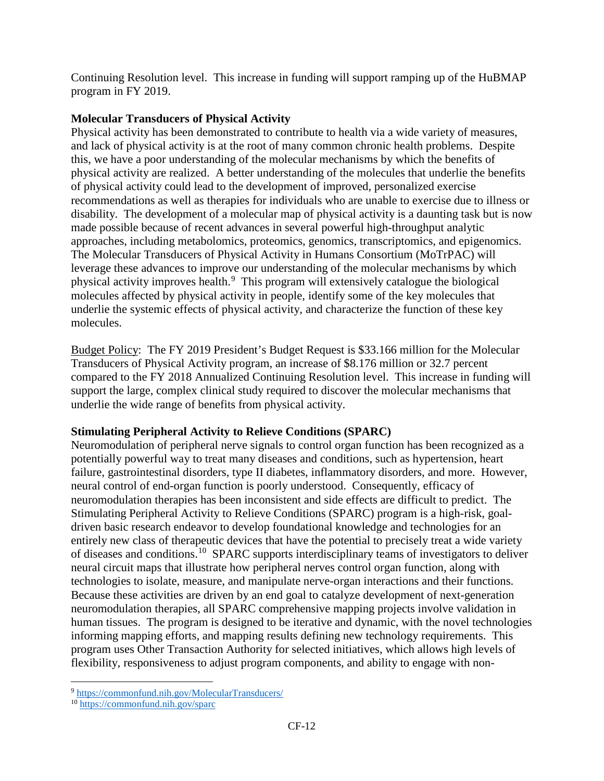Continuing Resolution level. This increase in funding will support ramping up of the HuBMAP program in FY 2019.

## **Molecular Transducers of Physical Activity**

Physical activity has been demonstrated to contribute to health via a wide variety of measures, and lack of physical activity is at the root of many common chronic health problems. Despite this, we have a poor understanding of the molecular mechanisms by which the benefits of physical activity are realized. A better understanding of the molecules that underlie the benefits of physical activity could lead to the development of improved, personalized exercise recommendations as well as therapies for individuals who are unable to exercise due to illness or disability. The development of a molecular map of physical activity is a daunting task but is now made possible because of recent advances in several powerful high-throughput analytic approaches, including metabolomics, proteomics, genomics, transcriptomics, and epigenomics. The Molecular Transducers of Physical Activity in Humans Consortium (MoTrPAC) will leverage these advances to improve our understanding of the molecular mechanisms by which physical activity improves health.[9](#page-11-0) This program will extensively catalogue the biological molecules affected by physical activity in people, identify some of the key molecules that underlie the systemic effects of physical activity, and characterize the function of these key molecules.

Budget Policy: The FY 2019 President's Budget Request is \$33.166 million for the Molecular Transducers of Physical Activity program, an increase of \$8.176 million or 32.7 percent compared to the FY 2018 Annualized Continuing Resolution level. This increase in funding will support the large, complex clinical study required to discover the molecular mechanisms that underlie the wide range of benefits from physical activity.

## **Stimulating Peripheral Activity to Relieve Conditions (SPARC)**

Neuromodulation of peripheral nerve signals to control organ function has been recognized as a potentially powerful way to treat many diseases and conditions, such as hypertension, heart failure, gastrointestinal disorders, type II diabetes, inflammatory disorders, and more. However, neural control of end-organ function is poorly understood. Consequently, efficacy of neuromodulation therapies has been inconsistent and side effects are difficult to predict. The Stimulating Peripheral Activity to Relieve Conditions (SPARC) program is a high-risk, goaldriven basic research endeavor to develop foundational knowledge and technologies for an entirely new class of therapeutic devices that have the potential to precisely treat a wide variety of diseases and conditions.[10](#page-11-1) SPARC supports interdisciplinary teams of investigators to deliver neural circuit maps that illustrate how peripheral nerves control organ function, along with technologies to isolate, measure, and manipulate nerve-organ interactions and their functions. Because these activities are driven by an end goal to catalyze development of next-generation neuromodulation therapies, all SPARC comprehensive mapping projects involve validation in human tissues. The program is designed to be iterative and dynamic, with the novel technologies informing mapping efforts, and mapping results defining new technology requirements. This program uses Other Transaction Authority for selected initiatives, which allows high levels of flexibility, responsiveness to adjust program components, and ability to engage with non-

l

<span id="page-11-0"></span><sup>&</sup>lt;sup>9</sup> <https://commonfund.nih.gov/MolecularTransducers/>

<span id="page-11-1"></span><sup>10</sup> <https://commonfund.nih.gov/sparc>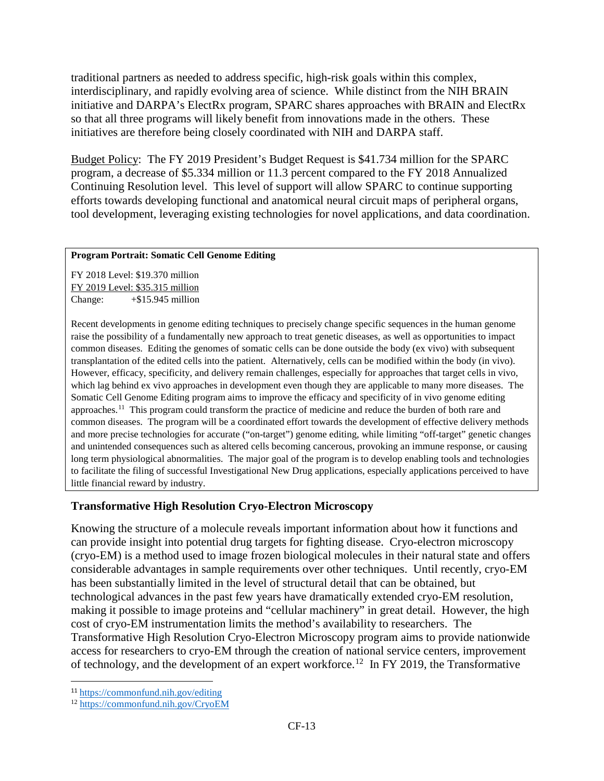traditional partners as needed to address specific, high-risk goals within this complex, interdisciplinary, and rapidly evolving area of science. While distinct from the NIH BRAIN initiative and DARPA's ElectRx program, SPARC shares approaches with BRAIN and ElectRx so that all three programs will likely benefit from innovations made in the others. These initiatives are therefore being closely coordinated with NIH and DARPA staff.

Budget Policy: The FY 2019 President's Budget Request is \$41.734 million for the SPARC program, a decrease of \$5.334 million or 11.3 percent compared to the FY 2018 Annualized Continuing Resolution level. This level of support will allow SPARC to continue supporting efforts towards developing functional and anatomical neural circuit maps of peripheral organs, tool development, leveraging existing technologies for novel applications, and data coordination.

#### **Program Portrait: Somatic Cell Genome Editing**

FY 2018 Level: \$19.370 million FY 2019 Level: \$35.315 million Change: +\$15.945 million

Recent developments in genome editing techniques to precisely change specific sequences in the human genome raise the possibility of a fundamentally new approach to treat genetic diseases, as well as opportunities to impact common diseases. Editing the genomes of somatic cells can be done outside the body (ex vivo) with subsequent transplantation of the edited cells into the patient. Alternatively, cells can be modified within the body (in vivo). However, efficacy, specificity, and delivery remain challenges, especially for approaches that target cells in vivo, which lag behind ex vivo approaches in development even though they are applicable to many more diseases. The Somatic Cell Genome Editing program aims to improve the efficacy and specificity of in vivo genome editing approaches.[11](#page-12-0) This program could transform the practice of medicine and reduce the burden of both rare and common diseases. The program will be a coordinated effort towards the development of effective delivery methods and more precise technologies for accurate ("on-target") genome editing, while limiting "off-target" genetic changes and unintended consequences such as altered cells becoming cancerous, provoking an immune response, or causing long term physiological abnormalities. The major goal of the program is to develop enabling tools and technologies to facilitate the filing of successful Investigational New Drug applications, especially applications perceived to have little financial reward by industry.

## **Transformative High Resolution Cryo-Electron Microscopy**

Knowing the structure of a molecule reveals important information about how it functions and can provide insight into potential drug targets for fighting disease. Cryo-electron microscopy (cryo-EM) is a method used to image frozen biological molecules in their natural state and offers considerable advantages in sample requirements over other techniques. Until recently, cryo-EM has been substantially limited in the level of structural detail that can be obtained, but technological advances in the past few years have dramatically extended cryo-EM resolution, making it possible to image proteins and "cellular machinery" in great detail. However, the high cost of cryo-EM instrumentation limits the method's availability to researchers. The Transformative High Resolution Cryo-Electron Microscopy program aims to provide nationwide access for researchers to cryo-EM through the creation of national service centers, improvement of technology, and the development of an expert workforce.<sup>12</sup> In FY 2019, the Transformative

<span id="page-12-0"></span> <sup>11</sup> <https://commonfund.nih.gov/editing>

<span id="page-12-1"></span><sup>12</sup> <https://commonfund.nih.gov/CryoEM>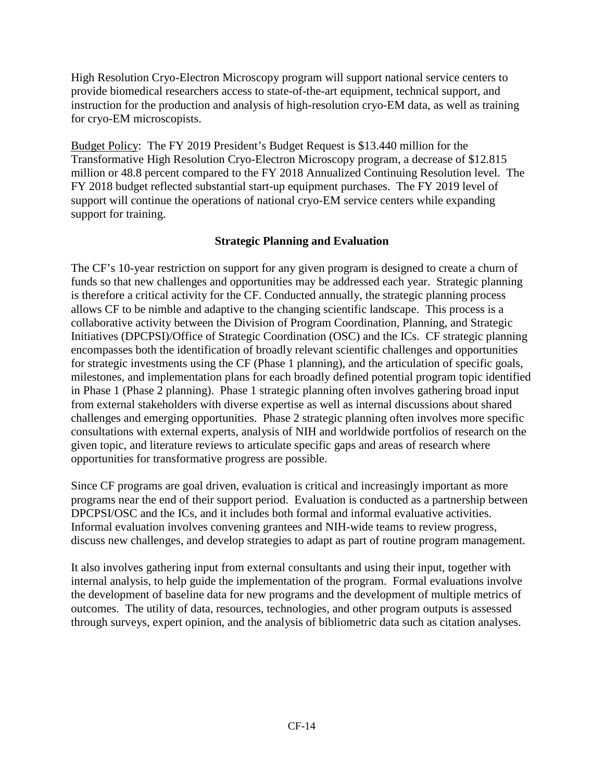High Resolution Cryo-Electron Microscopy program will support national service centers to provide biomedical researchers access to state-of-the-art equipment, technical support, and instruction for the production and analysis of high-resolution cryo-EM data, as well as training for cryo-EM microscopists.

Budget Policy: The FY 2019 President's Budget Request is \$13.440 million for the Transformative High Resolution Cryo-Electron Microscopy program, a decrease of \$12.815 million or 48.8 percent compared to the FY 2018 Annualized Continuing Resolution level. The FY 2018 budget reflected substantial start-up equipment purchases. The FY 2019 level of support will continue the operations of national cryo-EM service centers while expanding support for training.

## **Strategic Planning and Evaluation**

The CF's 10-year restriction on support for any given program is designed to create a churn of funds so that new challenges and opportunities may be addressed each year. Strategic planning is therefore a critical activity for the CF. Conducted annually, the strategic planning process allows CF to be nimble and adaptive to the changing scientific landscape. This process is a collaborative activity between the Division of Program Coordination, Planning, and Strategic Initiatives (DPCPSI)/Office of Strategic Coordination (OSC) and the ICs. CF strategic planning encompasses both the identification of broadly relevant scientific challenges and opportunities for strategic investments using the CF (Phase 1 planning), and the articulation of specific goals, milestones, and implementation plans for each broadly defined potential program topic identified in Phase 1 (Phase 2 planning). Phase 1 strategic planning often involves gathering broad input from external stakeholders with diverse expertise as well as internal discussions about shared challenges and emerging opportunities. Phase 2 strategic planning often involves more specific consultations with external experts, analysis of NIH and worldwide portfolios of research on the given topic, and literature reviews to articulate specific gaps and areas of research where opportunities for transformative progress are possible.

Since CF programs are goal driven, evaluation is critical and increasingly important as more programs near the end of their support period. Evaluation is conducted as a partnership between DPCPSI/OSC and the ICs, and it includes both formal and informal evaluative activities. Informal evaluation involves convening grantees and NIH-wide teams to review progress, discuss new challenges, and develop strategies to adapt as part of routine program management.

It also involves gathering input from external consultants and using their input, together with internal analysis, to help guide the implementation of the program. Formal evaluations involve the development of baseline data for new programs and the development of multiple metrics of outcomes. The utility of data, resources, technologies, and other program outputs is assessed through surveys, expert opinion, and the analysis of bibliometric data such as citation analyses.